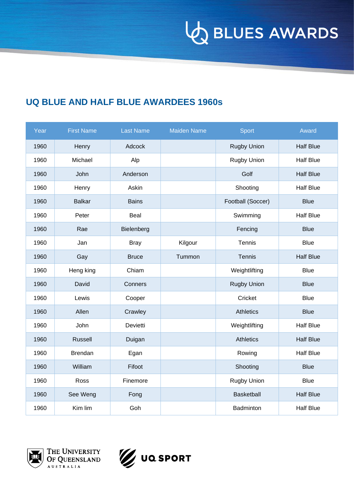**VO BLUES AWARDS** 

#### **UQ BLUE AND HALF BLUE AWARDEES 1960s**

| Year | <b>First Name</b> | <b>Last Name</b> | <b>Maiden Name</b> | <b>Sport</b>       | Award            |
|------|-------------------|------------------|--------------------|--------------------|------------------|
| 1960 | Henry             | Adcock           |                    | <b>Rugby Union</b> | <b>Half Blue</b> |
| 1960 | Michael           | Alp              |                    | Rugby Union        | <b>Half Blue</b> |
| 1960 | John              | Anderson         |                    | Golf               | <b>Half Blue</b> |
| 1960 | Henry             | Askin            |                    | Shooting           | <b>Half Blue</b> |
| 1960 | <b>Balkar</b>     | <b>Bains</b>     |                    | Football (Soccer)  | <b>Blue</b>      |
| 1960 | Peter             | Beal             |                    | Swimming           | <b>Half Blue</b> |
| 1960 | Rae               | Bielenberg       |                    | Fencing            | <b>Blue</b>      |
| 1960 | Jan               | <b>Bray</b>      | Kilgour            | Tennis             | <b>Blue</b>      |
| 1960 | Gay               | <b>Bruce</b>     | Tummon             | <b>Tennis</b>      | <b>Half Blue</b> |
| 1960 | Heng king         | Chiam            |                    | Weightlifting      | <b>Blue</b>      |
| 1960 | David             | Conners          |                    | <b>Rugby Union</b> | <b>Blue</b>      |
| 1960 | Lewis             | Cooper           |                    | Cricket            | <b>Blue</b>      |
| 1960 | Allen             | Crawley          |                    | <b>Athletics</b>   | <b>Blue</b>      |
| 1960 | John              | Devietti         |                    | Weightlifting      | <b>Half Blue</b> |
| 1960 | <b>Russell</b>    | Duigan           |                    | <b>Athletics</b>   | <b>Half Blue</b> |
| 1960 | <b>Brendan</b>    | Egan             |                    | Rowing             | <b>Half Blue</b> |
| 1960 | William           | Fifoot           |                    | Shooting           | <b>Blue</b>      |
| 1960 | Ross              | Finemore         |                    | Rugby Union        | <b>Blue</b>      |
| 1960 | See Weng          | Fong             |                    | Basketball         | <b>Half Blue</b> |
| 1960 | Kim lim           | Goh              |                    | Badminton          | <b>Half Blue</b> |



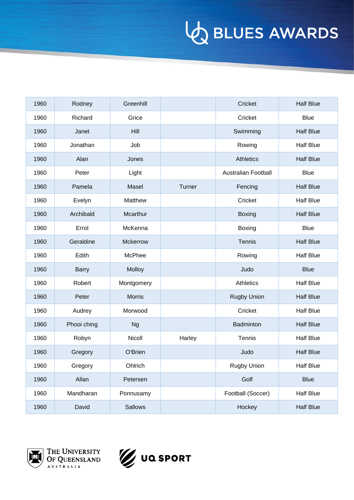| 1960 | Rodney       | Greenhill      |        | Cricket                    | <b>Half Blue</b> |
|------|--------------|----------------|--------|----------------------------|------------------|
| 1960 | Richard      | Grice          |        | Cricket                    | <b>Blue</b>      |
| 1960 | Janet        | Hill           |        | Swimming                   | <b>Half Blue</b> |
| 1960 | Jonathan     | Job            |        | Rowing                     | <b>Half Blue</b> |
| 1960 | Alan         | Jones          |        | <b>Athletics</b>           | <b>Half Blue</b> |
| 1960 | Peter        | Light          |        | <b>Australian Football</b> | <b>Blue</b>      |
| 1960 | Pamela       | Masel          | Turner | Fencing                    | <b>Half Blue</b> |
| 1960 | Evelyn       | Matthew        |        | Cricket                    | <b>Half Blue</b> |
| 1960 | Archibald    | Mcarthur       |        | <b>Boxing</b>              | <b>Half Blue</b> |
| 1960 | Errol        | McKenna        |        | Boxing                     | <b>Blue</b>      |
| 1960 | Geraldine    | Mckerrow       |        | Tennis                     | <b>Half Blue</b> |
| 1960 | Edith        | McPhee         |        | Rowing                     | <b>Half Blue</b> |
| 1960 | <b>Barry</b> | Molloy         |        | Judo                       | <b>Blue</b>      |
| 1960 | Robert       | Montgomery     |        | Athletics                  | <b>Half Blue</b> |
| 1960 | Peter        | <b>Morris</b>  |        | <b>Rugby Union</b>         | <b>Half Blue</b> |
| 1960 | Audrey       | Morwood        |        | Cricket                    | <b>Half Blue</b> |
| 1960 | Phooi ching  | <b>Ng</b>      |        | Badminton                  | <b>Half Blue</b> |
| 1960 | Robyn        | Nicoll         | Harley | Tennis                     | <b>Half Blue</b> |
| 1960 | Gregory      | O'Brien        |        | Judo                       | <b>Half Blue</b> |
| 1960 | Gregory      | Ohlrich        |        | <b>Rugby Union</b>         | <b>Half Blue</b> |
| 1960 | Allan        | Petersen       |        | Golf                       | <b>Blue</b>      |
| 1960 | Mandharan    | Ponnusamy      |        | Football (Soccer)          | <b>Half Blue</b> |
| 1960 | David        | <b>Sallows</b> |        | Hockey                     | <b>Half Blue</b> |



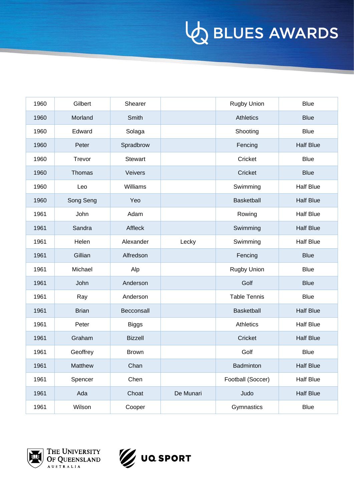| 1960 | Gilbert      | Shearer        |           | <b>Rugby Union</b>  | <b>Blue</b>      |
|------|--------------|----------------|-----------|---------------------|------------------|
| 1960 | Morland      | Smith          |           | <b>Athletics</b>    | <b>Blue</b>      |
| 1960 | Edward       | Solaga         |           | Shooting            | <b>Blue</b>      |
| 1960 | Peter        | Spradbrow      |           | Fencing             | <b>Half Blue</b> |
| 1960 | Trevor       | <b>Stewart</b> |           | Cricket             | <b>Blue</b>      |
| 1960 | Thomas       | Veivers        |           | Cricket             | <b>Blue</b>      |
| 1960 | Leo          | Williams       |           | Swimming            | <b>Half Blue</b> |
| 1960 | Song Seng    | Yeo            |           | Basketball          | <b>Half Blue</b> |
| 1961 | John         | Adam           |           | Rowing              | <b>Half Blue</b> |
| 1961 | Sandra       | Affleck        |           | Swimming            | <b>Half Blue</b> |
| 1961 | Helen        | Alexander      | Lecky     | Swimming            | <b>Half Blue</b> |
| 1961 | Gillian      | Alfredson      |           | Fencing             | <b>Blue</b>      |
| 1961 | Michael      | Alp            |           | <b>Rugby Union</b>  | <b>Blue</b>      |
| 1961 | John         | Anderson       |           | Golf                | <b>Blue</b>      |
| 1961 | Ray          | Anderson       |           | <b>Table Tennis</b> | <b>Blue</b>      |
| 1961 | <b>Brian</b> | Becconsall     |           | Basketball          | <b>Half Blue</b> |
| 1961 | Peter        | <b>Biggs</b>   |           | Athletics           | <b>Half Blue</b> |
| 1961 | Graham       | <b>Bizzell</b> |           | Cricket             | <b>Half Blue</b> |
| 1961 | Geoffrey     | <b>Brown</b>   |           | Golf                | <b>Blue</b>      |
| 1961 | Matthew      | Chan           |           | Badminton           | <b>Half Blue</b> |
| 1961 | Spencer      | Chen           |           | Football (Soccer)   | <b>Half Blue</b> |
| 1961 | Ada          | Choat          | De Munari | Judo                | <b>Half Blue</b> |
| 1961 | Wilson       | Cooper         |           | Gymnastics          | <b>Blue</b>      |



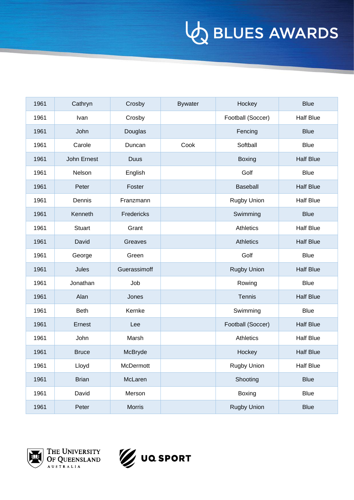| 1961 | Cathryn       | Crosby        | <b>Bywater</b> | Hockey             | <b>Blue</b>      |
|------|---------------|---------------|----------------|--------------------|------------------|
| 1961 | Ivan          | Crosby        |                | Football (Soccer)  | <b>Half Blue</b> |
| 1961 | John          | Douglas       |                | Fencing            | <b>Blue</b>      |
| 1961 | Carole        | Duncan        | Cook           | Softball           | <b>Blue</b>      |
| 1961 | John Ernest   | <b>Duus</b>   |                | <b>Boxing</b>      | <b>Half Blue</b> |
| 1961 | Nelson        | English       |                | Golf               | <b>Blue</b>      |
| 1961 | Peter         | Foster        |                | Baseball           | <b>Half Blue</b> |
| 1961 | Dennis        | Franzmann     |                | <b>Rugby Union</b> | <b>Half Blue</b> |
| 1961 | Kenneth       | Fredericks    |                | Swimming           | <b>Blue</b>      |
| 1961 | <b>Stuart</b> | Grant         |                | Athletics          | <b>Half Blue</b> |
| 1961 | David         | Greaves       |                | <b>Athletics</b>   | <b>Half Blue</b> |
| 1961 | George        | Green         |                | Golf               | <b>Blue</b>      |
| 1961 | Jules         | Guerassimoff  |                | <b>Rugby Union</b> | <b>Half Blue</b> |
| 1961 | Jonathan      | Job           |                | Rowing             | <b>Blue</b>      |
| 1961 | Alan          | Jones         |                | Tennis             | <b>Half Blue</b> |
| 1961 | <b>Beth</b>   | Kernke        |                | Swimming           | <b>Blue</b>      |
| 1961 | Ernest        | Lee           |                | Football (Soccer)  | <b>Half Blue</b> |
| 1961 | John          | Marsh         |                | Athletics          | <b>Half Blue</b> |
| 1961 | <b>Bruce</b>  | McBryde       |                | Hockey             | <b>Half Blue</b> |
| 1961 | Lloyd         | McDermott     |                | <b>Rugby Union</b> | <b>Half Blue</b> |
| 1961 | <b>Brian</b>  | McLaren       |                | Shooting           | <b>Blue</b>      |
| 1961 | David         | Merson        |                | Boxing             | <b>Blue</b>      |
| 1961 | Peter         | <b>Morris</b> |                | <b>Rugby Union</b> | <b>Blue</b>      |



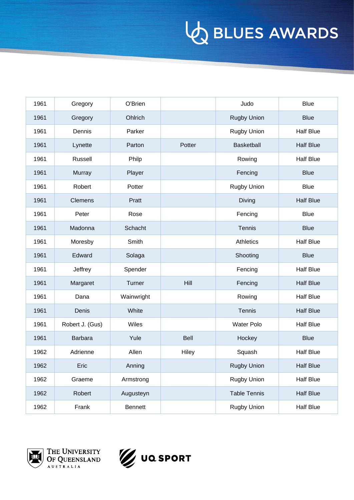| 1961 | Gregory         | O'Brien        |        | Judo                | <b>Blue</b>      |
|------|-----------------|----------------|--------|---------------------|------------------|
| 1961 | Gregory         | Ohlrich        |        | <b>Rugby Union</b>  | <b>Blue</b>      |
| 1961 | Dennis          | Parker         |        | <b>Rugby Union</b>  | <b>Half Blue</b> |
| 1961 | Lynette         | Parton         | Potter | Basketball          | <b>Half Blue</b> |
| 1961 | Russell         | Philp          |        | Rowing              | <b>Half Blue</b> |
| 1961 | <b>Murray</b>   | Player         |        | Fencing             | <b>Blue</b>      |
| 1961 | Robert          | Potter         |        | <b>Rugby Union</b>  | <b>Blue</b>      |
| 1961 | <b>Clemens</b>  | Pratt          |        | Diving              | <b>Half Blue</b> |
| 1961 | Peter           | Rose           |        | Fencing             | <b>Blue</b>      |
| 1961 | Madonna         | Schacht        |        | Tennis              | <b>Blue</b>      |
| 1961 | Moresby         | Smith          |        | Athletics           | <b>Half Blue</b> |
| 1961 | Edward          | Solaga         |        | Shooting            | <b>Blue</b>      |
| 1961 | Jeffrey         | Spender        |        | Fencing             | <b>Half Blue</b> |
| 1961 | Margaret        | Turner         | Hill   | Fencing             | <b>Half Blue</b> |
| 1961 | Dana            | Wainwright     |        | Rowing              | <b>Half Blue</b> |
| 1961 | Denis           | White          |        | Tennis              | <b>Half Blue</b> |
| 1961 | Robert J. (Gus) | Wiles          |        | <b>Water Polo</b>   | <b>Half Blue</b> |
| 1961 | <b>Barbara</b>  | Yule           | Bell   | Hockey              | <b>Blue</b>      |
| 1962 | Adrienne        | Allen          | Hiley  | Squash              | <b>Half Blue</b> |
| 1962 | Eric            | Anning         |        | <b>Rugby Union</b>  | <b>Half Blue</b> |
| 1962 | Graeme          | Armstrong      |        | <b>Rugby Union</b>  | <b>Half Blue</b> |
| 1962 | Robert          | Augusteyn      |        | <b>Table Tennis</b> | <b>Half Blue</b> |
| 1962 | Frank           | <b>Bennett</b> |        | Rugby Union         | <b>Half Blue</b> |



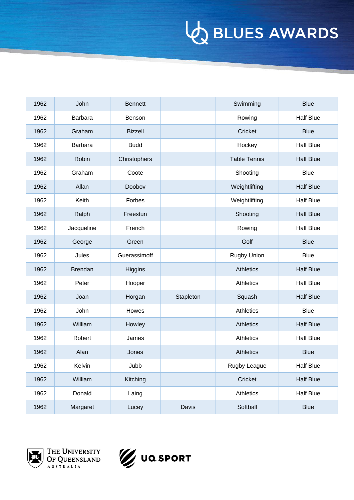| 1962 | John           | <b>Bennett</b> |           | Swimming            | <b>Blue</b>      |
|------|----------------|----------------|-----------|---------------------|------------------|
| 1962 | <b>Barbara</b> | Benson         |           | Rowing              | <b>Half Blue</b> |
| 1962 | Graham         | <b>Bizzell</b> |           | Cricket             | <b>Blue</b>      |
| 1962 | <b>Barbara</b> | <b>Budd</b>    |           | Hockey              | <b>Half Blue</b> |
| 1962 | Robin          | Christophers   |           | <b>Table Tennis</b> | <b>Half Blue</b> |
| 1962 | Graham         | Coote          |           | Shooting            | <b>Blue</b>      |
| 1962 | Allan          | Doobov         |           | Weightlifting       | <b>Half Blue</b> |
| 1962 | Keith          | Forbes         |           | Weightlifting       | <b>Half Blue</b> |
| 1962 | Ralph          | Freestun       |           | Shooting            | <b>Half Blue</b> |
| 1962 | Jacqueline     | French         |           | Rowing              | <b>Half Blue</b> |
| 1962 | George         | Green          |           | Golf                | <b>Blue</b>      |
| 1962 | Jules          | Guerassimoff   |           | <b>Rugby Union</b>  | <b>Blue</b>      |
| 1962 | <b>Brendan</b> | <b>Higgins</b> |           | <b>Athletics</b>    | <b>Half Blue</b> |
| 1962 | Peter          | Hooper         |           | <b>Athletics</b>    | <b>Half Blue</b> |
| 1962 | Joan           | Horgan         | Stapleton | Squash              | <b>Half Blue</b> |
| 1962 | John           | Howes          |           | <b>Athletics</b>    | <b>Blue</b>      |
| 1962 | William        | Howley         |           | <b>Athletics</b>    | <b>Half Blue</b> |
| 1962 | Robert         | James          |           | Athletics           | <b>Half Blue</b> |
| 1962 | Alan           | Jones          |           | <b>Athletics</b>    | <b>Blue</b>      |
| 1962 | Kelvin         | Jubb           |           | Rugby League        | <b>Half Blue</b> |
| 1962 | William        | Kitching       |           | Cricket             | <b>Half Blue</b> |
| 1962 | Donald         | Laing          |           | Athletics           | <b>Half Blue</b> |
| 1962 | Margaret       | Lucey          | Davis     | Softball            | <b>Blue</b>      |



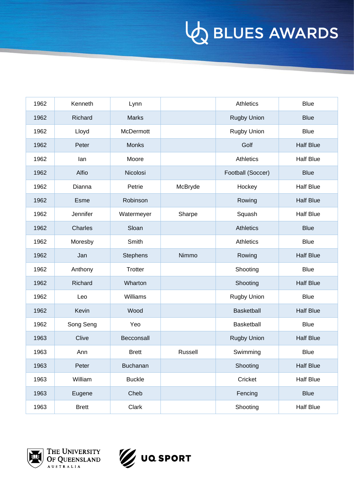| 1962 | Kenneth      | Lynn            |         | <b>Athletics</b>   | <b>Blue</b>      |
|------|--------------|-----------------|---------|--------------------|------------------|
| 1962 | Richard      | <b>Marks</b>    |         | <b>Rugby Union</b> | <b>Blue</b>      |
| 1962 | Lloyd        | McDermott       |         | <b>Rugby Union</b> | <b>Blue</b>      |
| 1962 | Peter        | Monks           |         | Golf               | <b>Half Blue</b> |
| 1962 | lan          | Moore           |         | <b>Athletics</b>   | <b>Half Blue</b> |
| 1962 | Alfio        | Nicolosi        |         | Football (Soccer)  | <b>Blue</b>      |
| 1962 | Dianna       | Petrie          | McBryde | Hockey             | <b>Half Blue</b> |
| 1962 | Esme         | Robinson        |         | Rowing             | <b>Half Blue</b> |
| 1962 | Jennifer     | Watermeyer      | Sharpe  | Squash             | <b>Half Blue</b> |
| 1962 | Charles      | Sloan           |         | <b>Athletics</b>   | <b>Blue</b>      |
| 1962 | Moresby      | Smith           |         | Athletics          | <b>Blue</b>      |
| 1962 | Jan          | <b>Stephens</b> | Nimmo   | Rowing             | <b>Half Blue</b> |
| 1962 | Anthony      | Trotter         |         | Shooting           | <b>Blue</b>      |
| 1962 | Richard      | Wharton         |         | Shooting           | <b>Half Blue</b> |
| 1962 | Leo          | Williams        |         | Rugby Union        | <b>Blue</b>      |
| 1962 | Kevin        | Wood            |         | Basketball         | <b>Half Blue</b> |
| 1962 | Song Seng    | Yeo             |         | Basketball         | <b>Blue</b>      |
| 1963 | Clive        | Becconsall      |         | <b>Rugby Union</b> | <b>Half Blue</b> |
| 1963 | Ann          | <b>Brett</b>    | Russell | Swimming           | <b>Blue</b>      |
| 1963 | Peter        | <b>Buchanan</b> |         | Shooting           | <b>Half Blue</b> |
| 1963 | William      | <b>Buckle</b>   |         | Cricket            | <b>Half Blue</b> |
| 1963 | Eugene       | Cheb            |         | Fencing            | <b>Blue</b>      |
| 1963 | <b>Brett</b> | Clark           |         | Shooting           | <b>Half Blue</b> |



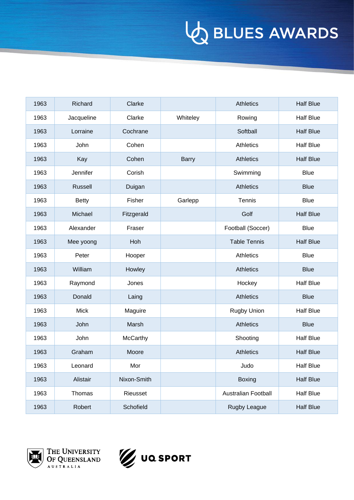| 1963 | Richard        | Clarke      |              | Athletics                  | <b>Half Blue</b> |
|------|----------------|-------------|--------------|----------------------------|------------------|
| 1963 | Jacqueline     | Clarke      | Whiteley     | Rowing                     | <b>Half Blue</b> |
| 1963 | Lorraine       | Cochrane    |              | Softball                   | <b>Half Blue</b> |
| 1963 | John           | Cohen       |              | Athletics                  | <b>Half Blue</b> |
| 1963 | Kay            | Cohen       | <b>Barry</b> | <b>Athletics</b>           | <b>Half Blue</b> |
| 1963 | Jennifer       | Corish      |              | Swimming                   | <b>Blue</b>      |
| 1963 | <b>Russell</b> | Duigan      |              | <b>Athletics</b>           | <b>Blue</b>      |
| 1963 | <b>Betty</b>   | Fisher      | Garlepp      | Tennis                     | <b>Blue</b>      |
| 1963 | Michael        | Fitzgerald  |              | Golf                       | <b>Half Blue</b> |
| 1963 | Alexander      | Fraser      |              | Football (Soccer)          | <b>Blue</b>      |
| 1963 | Mee yoong      | Hoh         |              | <b>Table Tennis</b>        | <b>Half Blue</b> |
| 1963 | Peter          | Hooper      |              | Athletics                  | <b>Blue</b>      |
| 1963 | William        | Howley      |              | <b>Athletics</b>           | <b>Blue</b>      |
| 1963 | Raymond        | Jones       |              | Hockey                     | <b>Half Blue</b> |
| 1963 | Donald         | Laing       |              | <b>Athletics</b>           | <b>Blue</b>      |
| 1963 | <b>Mick</b>    | Maguire     |              | <b>Rugby Union</b>         | <b>Half Blue</b> |
| 1963 | John           | Marsh       |              | <b>Athletics</b>           | <b>Blue</b>      |
| 1963 | John           | McCarthy    |              | Shooting                   | <b>Half Blue</b> |
| 1963 | Graham         | Moore       |              | <b>Athletics</b>           | <b>Half Blue</b> |
| 1963 | Leonard        | Mor         |              | Judo                       | <b>Half Blue</b> |
| 1963 | Alistair       | Nixon-Smith |              | <b>Boxing</b>              | <b>Half Blue</b> |
| 1963 | Thomas         | Rieusset    |              | <b>Australian Football</b> | <b>Half Blue</b> |
| 1963 | Robert         | Schofield   |              | Rugby League               | <b>Half Blue</b> |



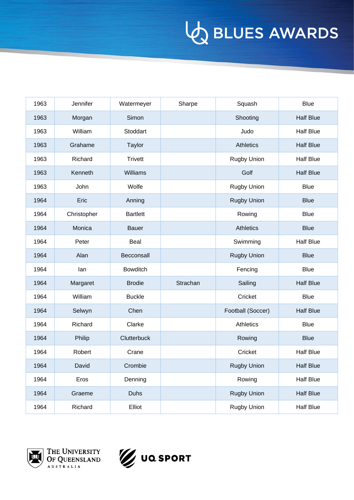| 1963 | Jennifer    | Watermeyer      | Sharpe   | Squash             | <b>Blue</b>      |
|------|-------------|-----------------|----------|--------------------|------------------|
| 1963 | Morgan      | Simon           |          | Shooting           | <b>Half Blue</b> |
| 1963 | William     | Stoddart        |          | Judo               | <b>Half Blue</b> |
| 1963 | Grahame     | <b>Taylor</b>   |          | <b>Athletics</b>   | <b>Half Blue</b> |
| 1963 | Richard     | <b>Trivett</b>  |          | <b>Rugby Union</b> | <b>Half Blue</b> |
| 1963 | Kenneth     | Williams        |          | Golf               | <b>Half Blue</b> |
| 1963 | John        | Wolfe           |          | <b>Rugby Union</b> | <b>Blue</b>      |
| 1964 | Eric        | Anning          |          | <b>Rugby Union</b> | <b>Blue</b>      |
| 1964 | Christopher | <b>Bartlett</b> |          | Rowing             | <b>Blue</b>      |
| 1964 | Monica      | <b>Bauer</b>    |          | <b>Athletics</b>   | <b>Blue</b>      |
| 1964 | Peter       | Beal            |          | Swimming           | <b>Half Blue</b> |
| 1964 | Alan        | Becconsall      |          | <b>Rugby Union</b> | <b>Blue</b>      |
| 1964 | lan         | <b>Bowditch</b> |          | Fencing            | <b>Blue</b>      |
| 1964 | Margaret    | <b>Brodie</b>   | Strachan | Sailing            | <b>Half Blue</b> |
| 1964 | William     | <b>Buckle</b>   |          | Cricket            | <b>Blue</b>      |
| 1964 | Selwyn      | Chen            |          | Football (Soccer)  | <b>Half Blue</b> |
| 1964 | Richard     | Clarke          |          | Athletics          | <b>Blue</b>      |
| 1964 | Philip      | Clutterbuck     |          | Rowing             | <b>Blue</b>      |
| 1964 | Robert      | Crane           |          | Cricket            | <b>Half Blue</b> |
| 1964 | David       | Crombie         |          | <b>Rugby Union</b> | <b>Half Blue</b> |
| 1964 | Eros        | Denning         |          | Rowing             | <b>Half Blue</b> |
| 1964 | Graeme      | Duhs            |          | <b>Rugby Union</b> | <b>Half Blue</b> |
| 1964 | Richard     | Elliot          |          | <b>Rugby Union</b> | <b>Half Blue</b> |



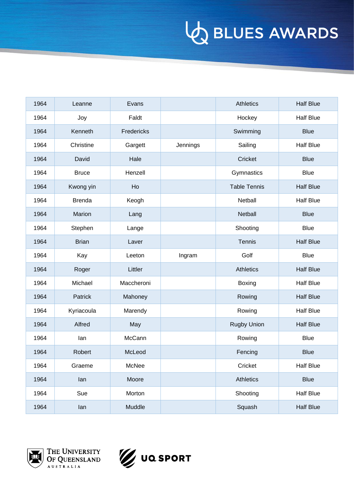| 1964 | Leanne        | Evans      |          | <b>Athletics</b>    | <b>Half Blue</b> |
|------|---------------|------------|----------|---------------------|------------------|
| 1964 | Joy           | Faldt      |          | Hockey              | <b>Half Blue</b> |
| 1964 | Kenneth       | Fredericks |          | Swimming            | <b>Blue</b>      |
| 1964 | Christine     | Gargett    | Jennings | Sailing             | <b>Half Blue</b> |
| 1964 | David         | Hale       |          | Cricket             | <b>Blue</b>      |
| 1964 | <b>Bruce</b>  | Henzell    |          | Gymnastics          | <b>Blue</b>      |
| 1964 | Kwong yin     | Ho         |          | <b>Table Tennis</b> | <b>Half Blue</b> |
| 1964 | <b>Brenda</b> | Keogh      |          | Netball             | <b>Half Blue</b> |
| 1964 | Marion        | Lang       |          | Netball             | <b>Blue</b>      |
| 1964 | Stephen       | Lange      |          | Shooting            | <b>Blue</b>      |
| 1964 | <b>Brian</b>  | Laver      |          | Tennis              | <b>Half Blue</b> |
| 1964 | Kay           | Leeton     | Ingram   | Golf                | <b>Blue</b>      |
| 1964 | Roger         | Littler    |          | <b>Athletics</b>    | <b>Half Blue</b> |
| 1964 | Michael       | Maccheroni |          | Boxing              | <b>Half Blue</b> |
| 1964 | Patrick       | Mahoney    |          | Rowing              | <b>Half Blue</b> |
| 1964 | Kyriacoula    | Marendy    |          | Rowing              | <b>Half Blue</b> |
| 1964 | Alfred        | May        |          | <b>Rugby Union</b>  | <b>Half Blue</b> |
| 1964 | lan           | McCann     |          | Rowing              | <b>Blue</b>      |
| 1964 | Robert        | McLeod     |          | Fencing             | <b>Blue</b>      |
| 1964 | Graeme        | McNee      |          | Cricket             | <b>Half Blue</b> |
| 1964 | lan           | Moore      |          | Athletics           | <b>Blue</b>      |
| 1964 | Sue           | Morton     |          | Shooting            | <b>Half Blue</b> |
| 1964 | lan           | Muddle     |          | Squash              | <b>Half Blue</b> |



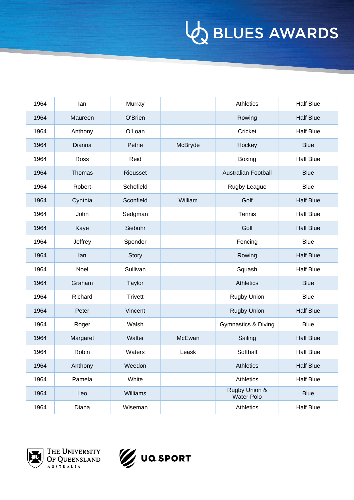| 1964 | lan           | Murray         |         | <b>Athletics</b>                   | <b>Half Blue</b> |
|------|---------------|----------------|---------|------------------------------------|------------------|
| 1964 | Maureen       | O'Brien        |         | Rowing                             | <b>Half Blue</b> |
| 1964 | Anthony       | O'Loan         |         | Cricket                            | <b>Half Blue</b> |
| 1964 | Dianna        | Petrie         | McBryde | Hockey                             | <b>Blue</b>      |
| 1964 | Ross          | Reid           |         | Boxing                             | <b>Half Blue</b> |
| 1964 | <b>Thomas</b> | Rieusset       |         | <b>Australian Football</b>         | <b>Blue</b>      |
| 1964 | Robert        | Schofield      |         | Rugby League                       | <b>Blue</b>      |
| 1964 | Cynthia       | Sconfield      | William | Golf                               | <b>Half Blue</b> |
| 1964 | John          | Sedgman        |         | Tennis                             | <b>Half Blue</b> |
| 1964 | Kaye          | Siebuhr        |         | Golf                               | <b>Half Blue</b> |
| 1964 | Jeffrey       | Spender        |         | Fencing                            | <b>Blue</b>      |
| 1964 | lan           | Story          |         | Rowing                             | <b>Half Blue</b> |
| 1964 | Noel          | Sullivan       |         | Squash                             | <b>Half Blue</b> |
| 1964 | Graham        | <b>Taylor</b>  |         | <b>Athletics</b>                   | <b>Blue</b>      |
| 1964 | Richard       | <b>Trivett</b> |         | <b>Rugby Union</b>                 | <b>Blue</b>      |
| 1964 | Peter         | Vincent        |         | <b>Rugby Union</b>                 | <b>Half Blue</b> |
| 1964 | Roger         | Walsh          |         | <b>Gymnastics &amp; Diving</b>     | <b>Blue</b>      |
| 1964 | Margaret      | Walter         | McEwan  | Sailing                            | <b>Half Blue</b> |
| 1964 | Robin         | Waters         | Leask   | Softball                           | <b>Half Blue</b> |
| 1964 | Anthony       | Weedon         |         | <b>Athletics</b>                   | <b>Half Blue</b> |
| 1964 | Pamela        | White          |         | Athletics                          | <b>Half Blue</b> |
| 1964 | Leo           | Williams       |         | Rugby Union &<br><b>Water Polo</b> | <b>Blue</b>      |
| 1964 | Diana         | Wiseman        |         | Athletics                          | <b>Half Blue</b> |



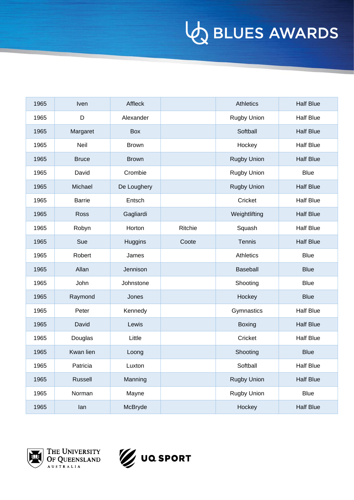| 1965 | Iven          | Affleck        |         | <b>Athletics</b>   | <b>Half Blue</b> |
|------|---------------|----------------|---------|--------------------|------------------|
| 1965 | D             | Alexander      |         | <b>Rugby Union</b> | <b>Half Blue</b> |
| 1965 | Margaret      | <b>Box</b>     |         | Softball           | <b>Half Blue</b> |
| 1965 | Neil          | <b>Brown</b>   |         | Hockey             | <b>Half Blue</b> |
| 1965 | <b>Bruce</b>  | <b>Brown</b>   |         | <b>Rugby Union</b> | <b>Half Blue</b> |
| 1965 | David         | Crombie        |         | <b>Rugby Union</b> | <b>Blue</b>      |
| 1965 | Michael       | De Loughery    |         | <b>Rugby Union</b> | <b>Half Blue</b> |
| 1965 | <b>Barrie</b> | Entsch         |         | Cricket            | <b>Half Blue</b> |
| 1965 | Ross          | Gagliardi      |         | Weightlifting      | <b>Half Blue</b> |
| 1965 | Robyn         | Horton         | Ritchie | Squash             | <b>Half Blue</b> |
| 1965 | Sue           | <b>Huggins</b> | Coote   | Tennis             | <b>Half Blue</b> |
| 1965 | Robert        | James          |         | Athletics          | <b>Blue</b>      |
| 1965 | Allan         | Jennison       |         | Baseball           | <b>Blue</b>      |
| 1965 | John          | Johnstone      |         | Shooting           | <b>Blue</b>      |
| 1965 | Raymond       | Jones          |         | Hockey             | <b>Blue</b>      |
| 1965 | Peter         | Kennedy        |         | Gymnastics         | <b>Half Blue</b> |
| 1965 | David         | Lewis          |         | <b>Boxing</b>      | <b>Half Blue</b> |
| 1965 | Douglas       | Little         |         | Cricket            | <b>Half Blue</b> |
| 1965 | Kwan lien     | Loong          |         | Shooting           | <b>Blue</b>      |
| 1965 | Patricia      | Luxton         |         | Softball           | Half Blue        |
| 1965 | Russell       | Manning        |         | <b>Rugby Union</b> | <b>Half Blue</b> |
| 1965 | Norman        | Mayne          |         | Rugby Union        | <b>Blue</b>      |
| 1965 | lan           | McBryde        |         | Hockey             | <b>Half Blue</b> |



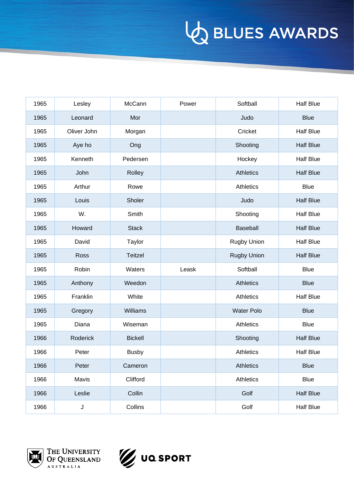| 1965 | Lesley      | McCann         | Power | Softball           | <b>Half Blue</b> |
|------|-------------|----------------|-------|--------------------|------------------|
| 1965 | Leonard     | Mor            |       | Judo               | <b>Blue</b>      |
| 1965 | Oliver John | Morgan         |       | Cricket            | <b>Half Blue</b> |
| 1965 | Aye ho      | Ong            |       | Shooting           | <b>Half Blue</b> |
| 1965 | Kenneth     | Pedersen       |       | Hockey             | <b>Half Blue</b> |
| 1965 | John        | Rolley         |       | <b>Athletics</b>   | <b>Half Blue</b> |
| 1965 | Arthur      | Rowe           |       | Athletics          | <b>Blue</b>      |
| 1965 | Louis       | Sholer         |       | Judo               | <b>Half Blue</b> |
| 1965 | W.          | Smith          |       | Shooting           | <b>Half Blue</b> |
| 1965 | Howard      | <b>Stack</b>   |       | Baseball           | <b>Half Blue</b> |
| 1965 | David       | Taylor         |       | Rugby Union        | <b>Half Blue</b> |
| 1965 | Ross        | <b>Teitzel</b> |       | <b>Rugby Union</b> | <b>Half Blue</b> |
| 1965 | Robin       | Waters         | Leask | Softball           | <b>Blue</b>      |
| 1965 | Anthony     | Weedon         |       | Athletics          | <b>Blue</b>      |
| 1965 | Franklin    | White          |       | Athletics          | <b>Half Blue</b> |
| 1965 | Gregory     | Williams       |       | <b>Water Polo</b>  | <b>Blue</b>      |
| 1965 | Diana       | Wiseman        |       | Athletics          | <b>Blue</b>      |
| 1966 | Roderick    | <b>Bickell</b> |       | Shooting           | <b>Half Blue</b> |
| 1966 | Peter       | <b>Busby</b>   |       | Athletics          | <b>Half Blue</b> |
| 1966 | Peter       | Cameron        |       | <b>Athletics</b>   | <b>Blue</b>      |
| 1966 | Mavis       | Clifford       |       | Athletics          | <b>Blue</b>      |
| 1966 | Leslie      | Collin         |       | Golf               | <b>Half Blue</b> |
| 1966 | $\mathsf J$ | Collins        |       | Golf               | <b>Half Blue</b> |



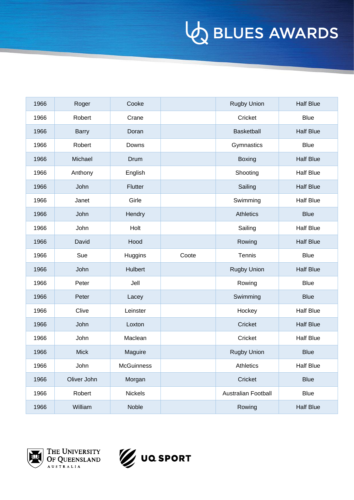| 1966 | Roger        | Cooke             |       | <b>Rugby Union</b>         | <b>Half Blue</b> |
|------|--------------|-------------------|-------|----------------------------|------------------|
| 1966 | Robert       | Crane             |       | Cricket                    | <b>Blue</b>      |
| 1966 | <b>Barry</b> | Doran             |       | Basketball                 | <b>Half Blue</b> |
| 1966 | Robert       | Downs             |       | Gymnastics                 | <b>Blue</b>      |
| 1966 | Michael      | Drum              |       | Boxing                     | <b>Half Blue</b> |
| 1966 | Anthony      | English           |       | Shooting                   | <b>Half Blue</b> |
| 1966 | John         | Flutter           |       | Sailing                    | <b>Half Blue</b> |
| 1966 | Janet        | Girle             |       | Swimming                   | <b>Half Blue</b> |
| 1966 | John         | Hendry            |       | <b>Athletics</b>           | <b>Blue</b>      |
| 1966 | John         | Holt              |       | Sailing                    | <b>Half Blue</b> |
| 1966 | David        | Hood              |       | Rowing                     | <b>Half Blue</b> |
| 1966 | Sue          | Huggins           | Coote | Tennis                     | <b>Blue</b>      |
| 1966 | John         | Hulbert           |       | <b>Rugby Union</b>         | <b>Half Blue</b> |
| 1966 | Peter        | Jell              |       | Rowing                     | <b>Blue</b>      |
| 1966 | Peter        | Lacey             |       | Swimming                   | <b>Blue</b>      |
| 1966 | Clive        | Leinster          |       | Hockey                     | <b>Half Blue</b> |
| 1966 | John         | Loxton            |       | Cricket                    | <b>Half Blue</b> |
| 1966 | John         | Maclean           |       | Cricket                    | <b>Half Blue</b> |
| 1966 | <b>Mick</b>  | Maguire           |       | <b>Rugby Union</b>         | <b>Blue</b>      |
| 1966 | John         | <b>McGuinness</b> |       | Athletics                  | <b>Half Blue</b> |
| 1966 | Oliver John  | Morgan            |       | Cricket                    | <b>Blue</b>      |
| 1966 | Robert       | Nickels           |       | <b>Australian Football</b> | <b>Blue</b>      |
| 1966 | William      | Noble             |       | Rowing                     | <b>Half Blue</b> |



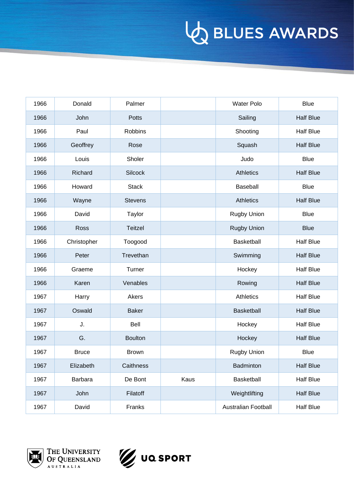| 1966 | Donald       | Palmer         |      | <b>Water Polo</b>   | <b>Blue</b>      |
|------|--------------|----------------|------|---------------------|------------------|
| 1966 | John         | Potts          |      | Sailing             | <b>Half Blue</b> |
| 1966 | Paul         | Robbins        |      | Shooting            | <b>Half Blue</b> |
| 1966 | Geoffrey     | Rose           |      | Squash              | <b>Half Blue</b> |
| 1966 | Louis        | Sholer         |      | Judo                | <b>Blue</b>      |
| 1966 | Richard      | <b>Silcock</b> |      | <b>Athletics</b>    | <b>Half Blue</b> |
| 1966 | Howard       | <b>Stack</b>   |      | Baseball            | <b>Blue</b>      |
| 1966 | Wayne        | <b>Stevens</b> |      | <b>Athletics</b>    | <b>Half Blue</b> |
| 1966 | David        | Taylor         |      | Rugby Union         | <b>Blue</b>      |
| 1966 | Ross         | Teitzel        |      | <b>Rugby Union</b>  | <b>Blue</b>      |
| 1966 | Christopher  | Toogood        |      | Basketball          | <b>Half Blue</b> |
| 1966 | Peter        | Trevethan      |      | Swimming            | <b>Half Blue</b> |
| 1966 | Graeme       | Turner         |      | Hockey              | <b>Half Blue</b> |
| 1966 | Karen        | Venables       |      | Rowing              | <b>Half Blue</b> |
| 1967 | Harry        | Akers          |      | Athletics           | <b>Half Blue</b> |
| 1967 | Oswald       | <b>Baker</b>   |      | Basketball          | <b>Half Blue</b> |
| 1967 | J.           | Bell           |      | Hockey              | <b>Half Blue</b> |
| 1967 | G.           | <b>Boulton</b> |      | Hockey              | <b>Half Blue</b> |
| 1967 | <b>Bruce</b> | Brown          |      | <b>Rugby Union</b>  | <b>Blue</b>      |
| 1967 | Elizabeth    | Caithness      |      | Badminton           | <b>Half Blue</b> |
| 1967 | Barbara      | De Bont        | Kaus | Basketball          | <b>Half Blue</b> |
| 1967 | John         | Filatoff       |      | Weightlifting       | <b>Half Blue</b> |
| 1967 | David        | Franks         |      | Australian Football | <b>Half Blue</b> |



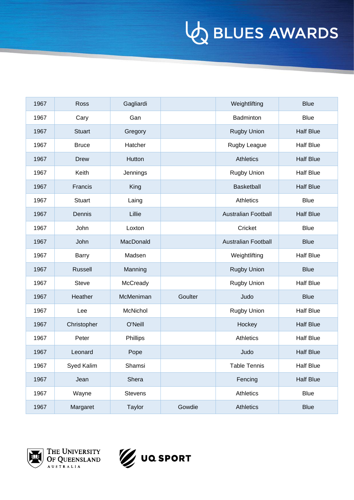| 1967 | Ross          | Gagliardi      |         | Weightlifting              | <b>Blue</b>      |
|------|---------------|----------------|---------|----------------------------|------------------|
| 1967 | Cary          | Gan            |         | Badminton                  | <b>Blue</b>      |
| 1967 | <b>Stuart</b> | Gregory        |         | <b>Rugby Union</b>         | <b>Half Blue</b> |
| 1967 | <b>Bruce</b>  | Hatcher        |         | Rugby League               | <b>Half Blue</b> |
| 1967 | <b>Drew</b>   | Hutton         |         | <b>Athletics</b>           | <b>Half Blue</b> |
| 1967 | Keith         | Jennings       |         | <b>Rugby Union</b>         | <b>Half Blue</b> |
| 1967 | Francis       | King           |         | <b>Basketball</b>          | <b>Half Blue</b> |
| 1967 | <b>Stuart</b> | Laing          |         | <b>Athletics</b>           | <b>Blue</b>      |
| 1967 | Dennis        | Lillie         |         | <b>Australian Football</b> | <b>Half Blue</b> |
| 1967 | John          | Loxton         |         | Cricket                    | <b>Blue</b>      |
| 1967 | John          | MacDonald      |         | Australian Football        | <b>Blue</b>      |
| 1967 | Barry         | Madsen         |         | Weightlifting              | <b>Half Blue</b> |
| 1967 | Russell       | Manning        |         | <b>Rugby Union</b>         | <b>Blue</b>      |
| 1967 | <b>Steve</b>  | McCready       |         | Rugby Union                | <b>Half Blue</b> |
| 1967 | Heather       | McMeniman      | Goulter | Judo                       | <b>Blue</b>      |
| 1967 | Lee           | McNichol       |         | Rugby Union                | <b>Half Blue</b> |
| 1967 | Christopher   | O'Neill        |         | Hockey                     | <b>Half Blue</b> |
| 1967 | Peter         | Phillips       |         | Athletics                  | <b>Half Blue</b> |
| 1967 | Leonard       | Pope           |         | Judo                       | <b>Half Blue</b> |
| 1967 | Syed Kalim    | Shamsi         |         | Table Tennis               | <b>Half Blue</b> |
| 1967 | Jean          | Shera          |         | Fencing                    | <b>Half Blue</b> |
| 1967 | Wayne         | <b>Stevens</b> |         | Athletics                  | <b>Blue</b>      |
| 1967 | Margaret      | Taylor         | Gowdie  | Athletics                  | <b>Blue</b>      |



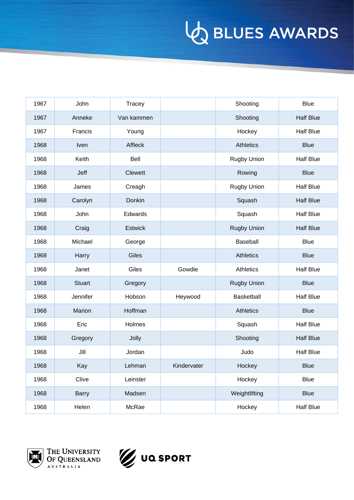| 1967 | John          | Tracey         |             | Shooting           | <b>Blue</b>      |
|------|---------------|----------------|-------------|--------------------|------------------|
| 1967 | Anneke        | Van kammen     |             | Shooting           | <b>Half Blue</b> |
| 1967 | Francis       | Young          |             | Hockey             | <b>Half Blue</b> |
| 1968 | Iven          | Affleck        |             | <b>Athletics</b>   | <b>Blue</b>      |
| 1968 | Keith         | Bell           |             | <b>Rugby Union</b> | <b>Half Blue</b> |
| 1968 | Jeff          | Clewett        |             | Rowing             | <b>Blue</b>      |
| 1968 | James         | Creagh         |             | <b>Rugby Union</b> | <b>Half Blue</b> |
| 1968 | Carolyn       | Donkin         |             | Squash             | <b>Half Blue</b> |
| 1968 | John          | Edwards        |             | Squash             | <b>Half Blue</b> |
| 1968 | Craig         | <b>Estwick</b> |             | <b>Rugby Union</b> | <b>Half Blue</b> |
| 1968 | Michael       | George         |             | Baseball           | <b>Blue</b>      |
| 1968 | Harry         | Giles          |             | <b>Athletics</b>   | <b>Blue</b>      |
| 1968 | Janet         | Giles          | Gowdie      | Athletics          | <b>Half Blue</b> |
| 1968 | <b>Stuart</b> | Gregory        |             | <b>Rugby Union</b> | <b>Blue</b>      |
| 1968 | Jennifer      | Hobson         | Heywood     | <b>Basketball</b>  | <b>Half Blue</b> |
| 1968 | Marion        | Hoffman        |             | <b>Athletics</b>   | <b>Blue</b>      |
| 1968 | Eric          | Holmes         |             | Squash             | <b>Half Blue</b> |
| 1968 | Gregory       | Jolly          |             | Shooting           | <b>Half Blue</b> |
| 1968 | Jill          | Jordan         |             | Judo               | <b>Half Blue</b> |
| 1968 | Kay           | Lehman         | Kindervater | Hockey             | <b>Blue</b>      |
| 1968 | Clive         | Leinster       |             | Hockey             | <b>Blue</b>      |
| 1968 | Barry         | Madsen         |             | Weightlifting      | <b>Blue</b>      |
| 1968 | Helen         | McRae          |             | Hockey             | <b>Half Blue</b> |



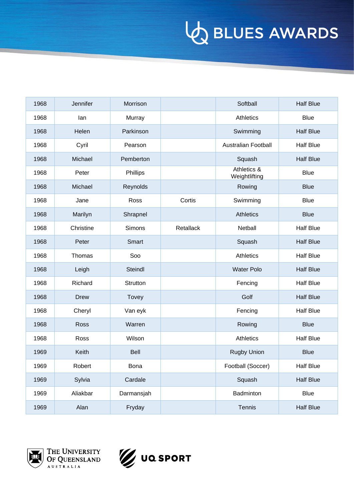| 1968 | Jennifer    | Morrison   |           | Softball                     | <b>Half Blue</b> |
|------|-------------|------------|-----------|------------------------------|------------------|
| 1968 | lan         | Murray     |           | Athletics                    | <b>Blue</b>      |
| 1968 | Helen       | Parkinson  |           | Swimming                     | <b>Half Blue</b> |
| 1968 | Cyril       | Pearson    |           | <b>Australian Football</b>   | <b>Half Blue</b> |
| 1968 | Michael     | Pemberton  |           | Squash                       | <b>Half Blue</b> |
| 1968 | Peter       | Phillips   |           | Athletics &<br>Weightlifting | <b>Blue</b>      |
| 1968 | Michael     | Reynolds   |           | Rowing                       | <b>Blue</b>      |
| 1968 | Jane        | Ross       | Cortis    | Swimming                     | <b>Blue</b>      |
| 1968 | Marilyn     | Shrapnel   |           | <b>Athletics</b>             | <b>Blue</b>      |
| 1968 | Christine   | Simons     | Retallack | Netball                      | <b>Half Blue</b> |
| 1968 | Peter       | Smart      |           | Squash                       | <b>Half Blue</b> |
| 1968 | Thomas      | Soo        |           | <b>Athletics</b>             | <b>Half Blue</b> |
| 1968 | Leigh       | Steindl    |           | <b>Water Polo</b>            | <b>Half Blue</b> |
| 1968 | Richard     | Strutton   |           | Fencing                      | <b>Half Blue</b> |
| 1968 | <b>Drew</b> | Tovey      |           | Golf                         | <b>Half Blue</b> |
| 1968 | Cheryl      | Van eyk    |           | Fencing                      | <b>Half Blue</b> |
| 1968 | Ross        | Warren     |           | Rowing                       | <b>Blue</b>      |
| 1968 | Ross        | Wilson     |           | Athletics                    | <b>Half Blue</b> |
| 1969 | Keith       | Bell       |           | <b>Rugby Union</b>           | <b>Blue</b>      |
| 1969 | Robert      | Bona       |           | Football (Soccer)            | <b>Half Blue</b> |
| 1969 | Sylvia      | Cardale    |           | Squash                       | <b>Half Blue</b> |
| 1969 | Aliakbar    | Darmansjah |           | Badminton                    | <b>Blue</b>      |
| 1969 | Alan        | Fryday     |           | Tennis                       | <b>Half Blue</b> |